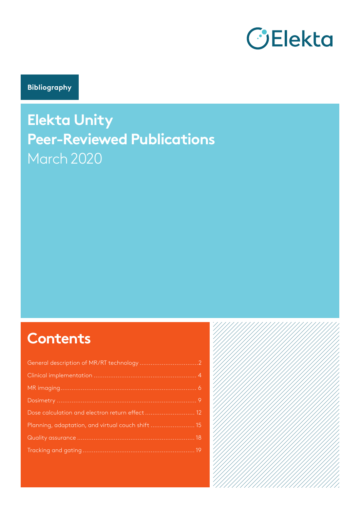

**Bibliography**

# **Elekta Unity Peer-Reviewed Publications** March 2020

# **Contents**

| Dose calculation and electron return effect  12   |  |
|---------------------------------------------------|--|
| Planning, adaptation, and virtual couch shift  15 |  |
|                                                   |  |
|                                                   |  |

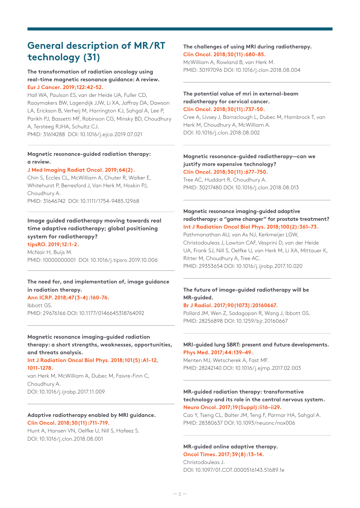## **General description of MR/RT technology (31)**

## **The transformation of radiation oncology using real-time magnetic resonance guidance: A review. Eur J Cancer. 2019;122:42-52.**

Hall WA, Paulson ES, van der Heide UA, Fuller CD, Raaymakers BW, Lagendijk JJW, Li XA, Jaffray DA, Dawson LA, Erickson B, Verheij M, Harrington KJ, Sahgal A, Lee P, Parikh PJ, Bassetti MF, Robinson CG, Minsky BD, Choudhury A, Tersteeg RJHA, Schultz CJ. PMID: 31614288 DOI: 10.1016/j.ejca.2019.07.021

### **Magnetic resonance-guided radiation therapy: a review.**

#### **J Med Imaging Radiat Oncol. 2019;64(2).**

Chin S, Eccles CL, McWilliam A, Chuter R, Walker E, Whitehurst P, Berresford J, Van Herk M, Hoskin PJ, Choudhury A. PMID: 31646742 DOI: 10.1111/1754-9485.12968

## **Image guided radiotherapy moving towards real time adaptive radiotherapy; global positioning system for radiotherapy?**

**tipsRO. 2019;12:1-2.** McNair H, Buijs M. PMID: 10000000001 DOI: 10.1016/j.tipsro.2019.10.006

## **The need for, and implementation of, image guidance in radiation therapy.**

**Ann ICRP. 2018;47(3-4):160-76.** Ibbott GS. PMID: 29676166 DOI: 10.1177/0146645318764092

## **Magnetic resonance imaging–guided radiation therapy: a short strengths, weaknesses, opportunities, and threats analysis.**

#### **Int J Radiation Oncol Biol Phys. 2018;101(5):A1-12, 1011-1278.**

van Herk M, McWilliam A, Dubec M, Faivre-Finn C, Choudhury A. DOI: 10.1016/j.ijrobp.2017.11.009

#### **Adaptive radiotherapy enabled by MRI guidance. Clin Oncol. 2018;30(11):711-719.**

Hunt A, Hansen VN, Oelfke U, Nill S, Hafeez S. DOI: 10.1016/j.clon.2018.08.001

## **The challenges of using MRI during radiotherapy. Clin Oncol. 2018;30(11):680-85.**

McWilliam A, Rowland B, van Herk M. PMID: 30197096 DOI: 10.1016/j.clon.2018.08.004

### **The potential value of mri in external-beam radiotherapy for cervical cancer. Clin Oncol. 2018;30(11):737-50.**

Cree A, Livsey J, Barraclough L, Dubec M, Hambrock T, van Herk M, Choudhury A, McWilliam A. DOI: 10.1016/j.clon.2018.08.002

#### **Magnetic resonance-guided radiotherapy—can we justify more expensive technology? Clin Oncol. 2018;30(11):677-750.**

Tree AC, Huddart R, Choudhury A. PMID: 30217480 DOI: 10.1016/j.clon.2018.08.013

## **Magnetic resonance imaging-guided adaptive radiotherapy: a "game changer" for prostate treatment? Int J Radiation Oncol Biol Phys. 2018;100(2):361–73.**

Pathmanathan AU, van As NJ, Kerkmeijer LGW, Christodouleas J, Lawton CAF, Vesprini D, van der Heide UA, Frank SJ, Nill S, Oelfke U, van Herk M, Li XA, Mittauer K, Ritter M, Choudhury A, Tree AC. PMID: 29353654 DOI: 10.1016/j.ijrobp.2017.10.020

## **The future of image-guided radiotherapy will be MR-guided.**

## **Br J Radiol. 2017;90(1073):20160667.**

Pollard JM, Wen Z, Sadagopan R, Wang J, Ibbott GS. PMID: 28256898 DOI: 10.1259/bjr.20160667

## **MRI-guided lung SBRT: present and future developments. Phys Med. 2017;44:139–49.**

Menten MJ, Wetscherek A, Fast MF. PMID: 28242140 DOI: 10.1016/j.ejmp.2017.02.003

## **MR-guided radiation therapy: transformative technology and its role in the central nervous system. Neuro Oncol. 2017;19(Suppl):ii16–ii29.**

Cao Y, Tseng CL, Balter JM, Teng F, Parmar HA, Sahgal A. PMID: 28380637 DOI: 10.1093/neuonc/nox006

## **MR-guided online adaptive therapy.**

**Oncol Times. 2017;39(8):13–14.** Christodouleas J. DOI: 10.1097/01.COT.0000516143.51689.1e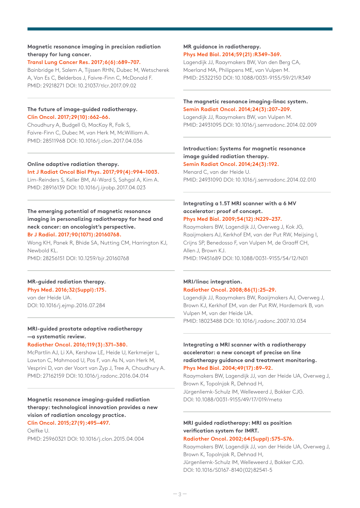#### **Magnetic resonance imaging in precision radiation therapy for lung cancer.**

## **Transl Lung Cancer Res. 2017;6(6):689–707.**

Bainbridge H, Salem A, Tijssen RHN, Dubec M, Wetscherek A, Van Es C, Belderbos J, Faivre-Finn C, McDonald F. PMID: 29218271 DOI: 10.21037/tlcr.2017.09.02

## **The future of image-guided radiotherapy. Clin Oncol. 2017;29(10):662–66.**

Choudhury A, Budgell G, MacKay R, Falk S, Faivre-Finn C, Dubec M, van Herk M, McWilliam A. PMID: 28511968 DOI: 10.1016/j.clon.2017.04.036

## **Online adaptive radiation therapy.**

#### **Int J Radiat Oncol Biol Phys. 2017;99(4):994–1003.**

Lim-Reinders S, Keller BM, Al-Ward S, Sahgal A, Kim A. PMID: 28916139 DOI: 10.1016/j.ijrobp.2017.04.023

## **The emerging potential of magnetic resonance imaging in personalizing radiotherapy for head and neck cancer: an oncologist's perspective. Br J Radiol. 2017;90(1071):20160768.**

Wong KH, Panek R, Bhide SA, Nutting CM, Harrington KJ, Newbold KL. PMID: 28256151 DOI: 10.1259/bjr.20160768

## **MR-guided radiation therapy.**

**Phys Med. 2016;32(Suppl):175.**

van der Heide UA. DOI: 10.1016/j.ejmp.2016.07.284

## **MRI-guided prostate adaptive radiotherapy —a systematic review.**

#### **Radiother Oncol. 2016;119(3):371–380.**

McPartlin AJ, Li XA, Kershaw LE, Heide U, Kerkmeijer L, Lawton C, Mahmood U, Pos F, van As N, van Herk M, Vesprini D, van der Voort van Zyp J, Tree A, Choudhury A. PMID: 27162159 DOI: 10.1016/j.radonc.2016.04.014

## **Magnetic resonance imaging-guided radiation therapy: technological innovation provides a new vision of radiation oncology practice. Clin Oncol. 2015;27(9):495–497.**

Oelfke U. PMID: 25960321 DOI: 10.1016/j.clon.2015.04.004

## **MR guidance in radiotherapy. Phys Med Biol. 2014;59(21):R349–369.**

Lagendijk JJ, Raaymakers BW, Van den Berg CA, Moerland MA, Philippens ME, van Vulpen M. PMID: 25322150 DOI: 10.1088/0031-9155/59/21/R349

## **The magnetic resonance imaging-linac system. Semin Radiat Oncol. 2014;24(3):207–209.**

Lagendijk JJ, Raaymakers BW, van Vulpen M. PMID: 24931095 DOI: 10.1016/j.semradonc.2014.02.009

#### **Introduction: Systems for magnetic resonance image guided radiation therapy. Semin Radiat Oncol. 2014;24(3):192.**

Menard C, van der Heide U. PMID: 24931090 DOI: 10.1016/j.semradonc.2014.02.010

## **Integrating a 1.5T MRI scanner with a 6 MV accelerator: proof of concept.**

## **Phys Med Biol. 2009;54(12):N229–237.**

Raaymakers BW, Lagendijk JJ, Overweg J, Kok JG, Raaijmakers AJ, Kerkhof EM, van der Put RW, Meijsing I, Crijns SP, Benedosso F, van Vulpen M, de Graaff CH, Allen J, Brown KJ. PMID: 19451689 DOI: 10.1088/0031-9155/54/12/N01

## **MRI/linac integration. Radiother Oncol. 2008;86(1):25–29.**

Lagendijk JJ, Raaymakers BW, Raaijmakers AJ, Overweg J, Brown KJ, Kerkhof EM, van der Put RW, Hardemark B, van Vulpen M, van der Heide UA. PMID: 18023488 DOI: 10.1016/j.radonc.2007.10.034

## **Integrating a MRI scanner with a radiotherapy accelerator: a new concept of precise on line radiotherapy guidance and treatment monitoring. Phys Med Biol. 2004;49(17):89–92.**

Raaymakers BW, Lagendijk JJ, van der Heide UA, Overweg J, Brown K, Topolnjak R, Dehnad H, Jürgenliemk-Schulz IM, Welleweerd J, Bakker CJG. DOI: 10.1088/0031-9155/49/17/019/meta

## **MRI guided radiotherapy: MRI as position verification system for IMRT.**

#### **Radiother Oncol. 2002;64(Suppl):S75–S76.**

Raaymakers BW, Lagendijk JJ, van der Heide UA, Overweg J, Brown K, Topolnjak R, Dehnad H, Jürgenliemk-Schulz IM, Welleweerd J, Bakker CJG. DOI: 10.1016/S0167-8140(02)82541-5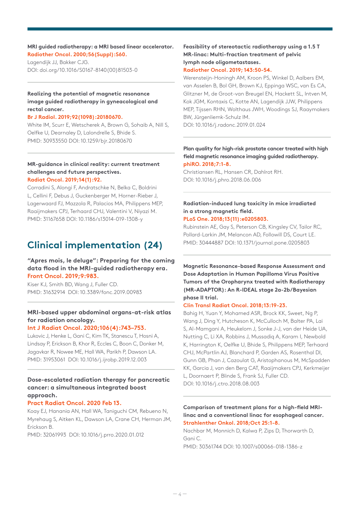#### **MRI guided radiotherapy: a MRI based linear accelerator. Radiother Oncol. 2000;56(Suppl):S60.**

Lagendijk JJ, Bakker CJG. DOI: doi.org/10.1016/S0167-8140(00)81503-0

## **Realizing the potential of magnetic resonance image guided radiotherapy in gyneacological and rectal cancer.**

**Br J Radiol. 2019;92(1098):20180670.** 

White IM, Scurr E, Wetscherek A, Brown G, Sohaib A, Nill S, Oelfke U, Dearnaley D, Lalondrelle S, Bhide S. PMID: 30933550 DOI: 10.1259/bjr.20180670

#### **MR-guidance in clinical reality: current treatment challenges and future perspectives. Radiat Oncol. 2019;14(1):92.**

Corradini S, Alongi F, Andratschke N, Belka C, Boldrini L, Cellini F, Debus J, Guckenberger M, Horner-Rieber J, Lagerwaard FJ, Mazzola R, Palacios MA, Philippens MEP, Raaijmakers CPJ, Terhaard CHJ, Valentini V, Niyazi M. PMID: 31167658 DOI: 10.1186/s13014-019-1308-y

## **Clinical implementation (24)**

## **"Apres mois, le deluge": Preparing for the coming data flood in the MRI-guided radiotherapy era. Front Oncol. 2019;9:983.**

Kiser KJ, Smith BD, Wang J, Fuller CD. PMID: 31632914 DOI: 10.3389/fonc.2019.00983

## **MRI-based upper abdominal organs-at-risk atlas for radiation oncology.**

## **Int J Radiat Oncol. 2020;106(4):743–753.**

Lukovic J, Henke L, Gani C, Kim TK, Stanescu T, Hosni A, Lindsay P, Erickson B, Khor R, Eccles C, Boon C, Donker M, Jagavkar R, Nowee ME, Hall WA, Parikh P, Dawson LA. PMID: 31953061 DOI: 10.1016/j.ijrobp.2019.12.003

## **Dose-escalated radiation therapy for pancreatic cancer: a simultaneous integrated boost approach.**

#### **Pract Radiat Oncol. 2020 Feb 13.**

Koay EJ, Hanania AN, Hall WA, Taniguchi CM, Rebueno N, Myrehaug S, Aitken KL, Dawson LA, Crane CH, Herman JM, Erickson B.

PMID: 32061993 DOI: 10.1016/j.prro.2020.01.012

## **Feasibility of stereotactic radiotherapy using a 1.5 T MR-linac: Multi-fraction treatment of pelvic lymph node oligometastases. Radiother Oncol. 2019; 143:50-54.**

Werensteijn-Honingh AM, Kroon PS, Winkel D, Aalbers EM, van Asselen B, Bol GH, Brown KJ, Eppinga WSC, van Es CA, Glitzner M, de Groot-van Breugel EN, Hackett SL, Intven M, Kok JGM, Kontaxis C, Kotte AN, Lagendijk JJW, Philippens MEP, Tijssen RHN, Wolthaus JWH, Woodings SJ, Raaymakers BW, Jürgenliemk-Schulz IM. DOI: 10.1016/j.radonc.2019.01.024

#### **Plan quality for high-risk prostate cancer treated with high field magnetic resonance imaging guided radiotherapy. phiRO. 2018;7:1-8.**

Christiansen RL, Hansen CR, Dahlrot RH. DOI: 10.1016/j.phro.2018.06.006

## **Radiation-induced lung toxicity in mice irradiated in a strong magnetic field.**

#### **PLoS One. 2018;13(11):e0205803.**

Rubinstein AE, Gay S, Peterson CB, Kingsley CV, Tailor RC, Pollard-Larkin JM, Melancon AD, Followill DS, Court LE. PMID: 30444887 DOI: 10.1371/journal.pone.0205803

**Magnetic Resonance-based Response Assessment and Dose Adaptation in Human Papilloma Virus Positive Tumors of the Oropharynx treated with Radiotherapy (MR-ADAPTOR): An R-IDEAL stage 2a-2b/Bayesian phase II trial.**

## **Clin Transl Radiat Oncol. 2018;13:19-23.**

Bahig H, Yuan Y, Mohamed ASR, Brock KK, Sweet, Ng P, Wang J, Ding Y, Hutcheson K, McCulloch M, Balter PA, Lai S, Al-Mamgani A, Heukelom J, Sonke J-J, van der Heide UA, Nutting C, Li XA, Robbins J, Mussadiq A, Karam I, Newbold K, Harrington K, Oelfke U, Bhide S, Philippens MEP, Terhaard CHJ, McPartlin AJ, Blanchard P, Garden AS, Rosenthal DI, Gunn GB, Phan J, Cazoulat G, Aristophanous M, McSpadden KK, Garcia J, van den Berg CAT, Raaijmakers CPJ, Kerkmeijer L, Doornaert P, Blinde S, Frank SJ, Fuller CD. DOI: 10.1016/j.ctro.2018.08.003

## **Comparison of treatment plans for a high-field MRIlinac and a conventional linac for esophageal cancer.**

#### **Strahlenther Onkol. 2018;Oct 25:1-8.**

Nachbar M, Monnich D, Kalwa P, Zips D, Thorwarth D, Gani C. PMID: 30361744 DOI: 10.1007/s00066-018-1386-z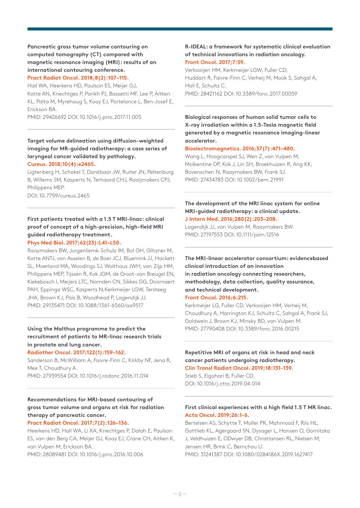## **Pancreatic gross tumor volume contouring on computed tomography (CT) compared with magnetic resonance imaging (MRI): results of an international contouring conference.**

**Pract Radiat Oncol. 2018;8(2):107–115.**

Hall WA, Heerkens HD, Paulson ES, Meijer GJ, Kotte AN, Knechtges P, Parikh PJ, Bassetti MF, Lee P, Aitken KL, Palta M, Myrehaug S, Koay EJ, Portelance L, Ben-Josef E, Erickson BA.

PMID: 29426692 DOI: 10.1016/j.prro.2017.11.005

#### **Target volume delineation using diffusion-weighted imaging for MR-guided radiotherapy: a case series of laryngeal cancer validated by pathology. Cureus. 2018;10(4):e2465.**

Ligtenberg H, Schakel T, Dankbaar JW, Ruiter JN, Peltenburg B, Willems SM, Kasperts N, Terhaard CHJ, Raaijmakers CPJ, Philippens MEP.

DOI: 10.7759/cureus.2465

## **First patients treated with a 1.5 T MRI-linac: clinical proof of concept of a high-precision, high-field MRI guided radiotherapy treatment.**

#### **Phys Med Biol. 2017;62(23):L41–L50.**

Raaymakers BW, Jurgenliemk-Schulz IM, Bol GH, Glitzner M, Kotte ANTJ, van Asselen B, de Boer JCJ, Bluemink JJ, Hackett SL, Moerland MA, Woodings SJ, Wolthaus JWH, van Zijp HM, Philippens MEP, Tijssen R, Kok JGM, de Groot-van Breugel EN, Kiekebosch I, Meijers LTC, Nomden CN, Sikkes GG, Doornaert PAH, Eppinga WSC, Kasperts N,Kerkmeijer LGW, Tersteeg JHA, Brown KJ, Pais B, Woodhead P, Lagendijk JJ. PMID: 29135471 DOI: 10.1088/1361-6560/aa9517

## **Using the Malthus programme to predict the recruitment of patients to MR-linac research trials in prostate and lung cancer.**

## **Radiother Oncol. 2017;122(1):159–162.**

Sanderson B, McWilliam A, Faivre-Finn C, Kirkby NF, Jena R, Mee T, Choudhury A. PMID: 27939554 DOI: 10.1016/j.radonc.2016.11.014

## **Recommendations for MRI-based contouring of gross tumor volume and organs at risk for radiation therapy of pancreatic cancer.**

## **Pract Radiat Oncol. 2017;7(2):126–136.**

Heerkens HD, Hall WA, Li XA, Knechtges P, Dalah E, Paulson ES, van den Berg CA, Meijer GJ, Koay EJ, Crane CH, Aitken K, van Vulpen M, Erickson BA.

PMID: 28089481 DOI: 10.1016/j.prro.2016.10.006

#### **R-IDEAL: a framework for systematic clinical evaluation of technical innovations in radiation oncology. Front Oncol. 2017;7:59.**

Verkooijen HM, Kerkmeijer LGW, Fuller CD, Huddart R, Faivre-Finn C, Verheij M, Mook S, Sahgal A, Hall E, Schultz C. PMID: 28421162 DOI: 10.3389/fonc.2017.00059

**Biological responses of human solid tumor cells to X-ray irradiation within a 1.5-Tesla magnetic field generated by a magnetic resonance imaging-linear accelerator.**

## **Bioelectromagnetics. 2016;37(7):471–480.**

Wang L, Hoogcarspel SJ, Wen Z, van Vulpen M, Molkentine DP, Kok J, Lin SH, Broekhuizen R, Ang KK, Bovenschen N, Raaymakers BW, Frank SJ. PMID: 27434783 DOI: 10.1002/bem.21991

## **The development of the MRI linac system for online MRI-guided radiotherapy: a clinical update. J Intern Med. 2016;280(2):203–208.**

Lagendijk JJ, van Vulpen M, Raaymakers BW. PMID: 27197553 DOI: 10.1111/joim.12516

## **The MRI-linear accelerator consortium: evidencebased clinical introduction of an innovation in radiation oncology connecting researchers, methodology, data collection, quality assurance, and technical development. Front Oncol. 2016;6:215.**

Kerkmeijer LG, Fuller CD, Verkooijen HM, Verheij M, Choudhury A, Harrington KJ, Schultz C, Sahgal A, Frank SJ, Goldwein J, Brown KJ, Minsky BD, van Vulpen M. PMID: 27790408 DOI: 10.3389/fonc.2016.00215

## **Repetitive MRI of organs at risk in head and neck cancer patients undergoing radiotherapy.**

**Clin Transl Radiat Oncol. 2019;18:131-139.** Stieb S, Elgohari B, Fuller CD.

DOI: 10.1016/j.ctro.2019.04.014

## **First clinical experiences with a high field 1.5 T MR linac. Acta Oncol. 2019;26:1-6.**

Bertelsen AS, Schytte T, Moller PK, Mahmood F, Riis HL, Gottlieb KL, Agergaard SN, Dysager L, Hansen O, Gornitzka J, Veldhuizen E, ODwyer DB, Christiansen RL, Nielsen M, Jensen HR, Brink C, Bernchou U. PMID: 31241387 DOI: 10.1080/0284186X.2019.1627417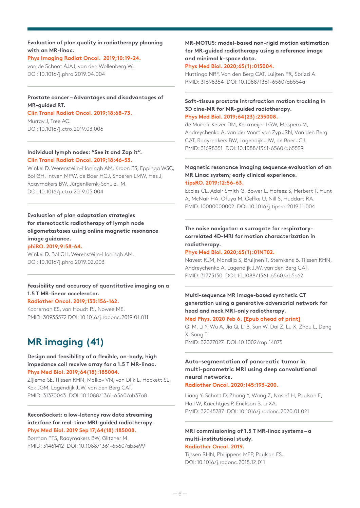#### **Evaluation of plan quality in radiotherapy planning with an MR-linac.**

## **Phys Imaging Radiat Oncol. 2019;10:19-24.**

van de Schoot AJAJ, van den Wollenberg W. DOI: 10.1016/j.phro.2019.04.004

#### **Prostate cancer – Advantages and disadvantages of MR-guided RT.**

#### **Clin Transl Radiat Oncol. 2019;18:68-73.**

Murray J, Tree AC. DOI: 10.1016/j.ctro.2019.03.006

#### **Individual lymph nodes: "See it and Zap it". Clin Transl Radiat Oncol. 2019;18:46-53.**

Winkel D, Werensteijn-Honingh AM, Kroon PS, Eppinga WSC, Bol GH, Intven MPW, de Boer HCJ, Snoeren LMW, Hes J, Raaymakers BW, Jürgenliemk-Schulz, IM. DOI: 10.1016/j.ctro.2019.03.004

## **Evaluation of plan adaptation strategies for stereotactic radiotherapy of lymph node oligometastases using online magnetic resonance image guidance.**

## **phiRO. 2019;9:58-64.**

Winkel D, Bol GH, Werensteijn-Honingh AM. DOI: 10.1016/j.phro.2019.02.003

#### **Feasibility and accuracy of quantitative imaging on a 1.5 T MR-linear accelerator.**

#### **Radiother Oncol. 2019;133:156-162.**

Kooreman ES, van Houdt PJ, Nowee ME. PMID: 30935572 DOI: 10.1016/j.radonc.2019.01.011

## **MR imaging (41)**

#### **Design and feasibility of a flexible, on-body, high impedance coil receive array for a 1.5 T MR-linac. Phys Med Biol. 2019;64(18):185004.**

Zijlema SE, Tijssen RHN, Malkov VN, van Dijk L, Hackett SL, Kok JGM, Lagendijk JJW, van den Berg CAT. PMID: 31370043 DOI: 10.1088/1361-6560/ab37a8

#### **ReconSocket: a low-latency raw data streaming interface for real-time MRI-guided radiotherapy. Phys Med Biol. 2019 Sep 17;64(18):185008.**

Borman PTS, Raaymakers BW, Glitzner M. PMID: 31461412 DOI: 10.1088/1361-6560/ab3e99

**MR-MOTUS: model-based non-rigid motion estimation for MR-guided radiotherapy using a reference image and minimal k-space data.**

#### **Phys Med Biol. 2020;65(1):015004.**

Huttinga NRF, Van den Berg CAT, Luijten PR, Sbrizzi A. PMID: 31698354 DOI: 10.1088/1361-6560/ab554a

#### **Soft-tissue prostate intrafraction motion tracking in 3D cine-MR for MR-guided radiotherapy. Phys Med Biol. 2019;64(23):235008.**

de Muinck Keizer DM, Kerkmeijer LGW, Maspero M, Andreychenko A, van der Voort van Zyp JRN, Van den Berg CAT, Raaymakers BW, Lagendijk JJW, de Boer JCJ. PMID: 31698351 DOI: 10.1088/1361-6560/ab5539

#### **Magnetic resonance imaging sequence evaluation of an MR Linac system; early clinical experience. tipsRO. 2019;12:56-63.**

Eccles CL, Adair Smith G, Bower L, Hafeez S, Herbert T, Hunt A, McNair HA, Ofuya M, Oelfke U, Nill S, Huddart RA. PMID: 10000000002 DOI: 10.1016/j.tipsro.2019.11.004

## **The noise navigator: a surrogate for respiratorycorrelated 4D-MRI for motion characterization in radiotherapy.**

#### **Phys Med Biol. 2020;65(1):01NT02.**

Navest RJM, Mandija S, Bruijnen T, Stemkens B, Tijssen RHN, Andreychenko A, Lagendijk JJW, van den Berg CAT. PMID: 31775130 DOI: 10.1088/1361-6560/ab5c62

## **Multi-sequence MR image-based synthetic CT generation using a generative adversarial network for head and neck MRI-only radiotherapy. Med Phys. 2020 Feb 6. [Epub ahead of print]**

Qi M, Li Y, Wu A, Jia Q, Li B, Sun W, Dai Z, Lu X, Zhou L, Deng X, Song T. PMID: 32027027 DOI: 10.1002/mp.14075

## **Auto-segmentation of pancreatic tumor in multi-parametric MRI using deep convolutional neural networks.**

#### **Radiother Oncol. 2020;145:193-200.**

Liang Y, Schott D, Zhang Y, Wang Z, Nasief H, Paulson E, Hall W, Knechtges P, Erickson B, Li XA. PMID: 32045787 DOI: 10.1016/j.radonc.2020.01.021

## **MRI commissioning of 1.5 T MR-linac systems – a multi-institutional study.**

#### **Radiother Oncol. 2019.**

Tijssen RHN, Philippens MEP, Paulson ES. DOI: 10.1016/j.radonc.2018.12.011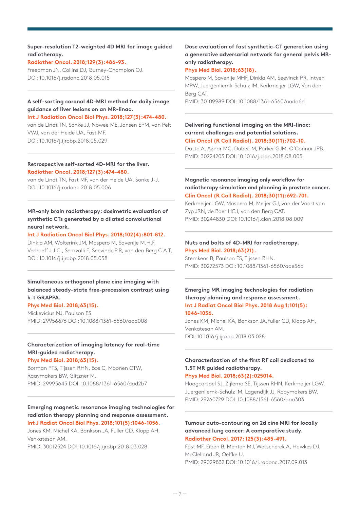#### **Super-resolution T2-weighted 4D MRI for image guided radiotherapy.**

## **Radiother Oncol. 2018;129(3):486-93.**

Freedman JN, Collins DJ, Gurney-Champion OJ. DOI: 10.1016/j.radonc.2018.05.015

#### **A self-sorting coronal 4D-MRI method for daily image guidance of liver lesions on an MR-linac. Int J Radiation Oncol Biol Phys. 2018;127(3):474-480.**

van de Lindt TN, Sonke JJ, Nowee ME, Jansen EPM, van Pelt VWJ, van der Heide UA, Fast MF. DOI: 10.1016/j.ijrobp.2018.05.029

#### **Retrospective self-sorted 4D-MRI for the liver. Radiother Oncol. 2018;127(3):474-480.**

van de Lindt TN, Fast MF, van der Heide UA, Sonke J-J. DOI: 10.1016/j.radonc.2018.05.006

## **MR-only brain radiotherapy: dosimetric evaluation of synthetic CTs generated by a dilated convolutional neural network.**

#### **Int J Radiation Oncol Biol Phys. 2018;102(4):801-812.**

Dinkla AM, Wolterink JM, Maspero M, Savenije M.H.F, Verhoeff J J.C., Seravalli E, Seevinck P.R, van den Berg C A.T. DOI: 10.1016/j.ijrobp.2018.05.058

## **Simultaneous orthogonal plane cine imaging with balanced steady-state free-precession contrast using k-t GRAPPA.**

#### **Phys Med Biol. 2018;63(15).**

Mickevicius NJ, Paulson ES. PMID: 29956676 DOI: 10.1088/1361-6560/aad008

## **Characterization of imaging latency for real-time MRI-guided radiotherapy.**

#### **Phys Med Biol. 2018;63(15).**

Borman PTS, Tijssen RHN, Bos C, Moonen CTW, Raaymakers BW, Glitzner M. PMID: 29995645 DOI: 10.1088/1361-6560/aad2b7

#### **Emerging magnetic resonance imaging technologies for radiation therapy planning and response assessment. Int J Radiat Oncol Biol Phys. 2018;101(5):1046-1056.**

Jones KM, Michel KA, Bankson JA, Fuller CD, Klopp AH, Venkatesan AM.

PMID: 30012524 DOI: 10.1016/j.ijrobp.2018.03.028

## **Dose evaluation of fast synthetic-CT generation using a generative adversarial network for general pelvis MRonly radiotherapy.**

## **Phys Med Biol. 2018;63(18).**

Maspero M, Savenije MHF, Dinkla AM, Seevinck PR, Intven MPW, Juergenliemk-Schulz IM, Kerkmeijer LGW, Van den Berg CAT.

PMID: 30109989 DOI: 10.1088/1361-6560/aada6d

#### **Delivering functional imaging on the MRI-linac: current challenges and potential solutions. Clin Oncol (R Coll Radiol). 2018;30(11):702-10.**

Datta A, Aznar MC, Dubec M, Parker GJM, O'Connor JPB. PMID: 30224203 DOI: 10.1016/j.clon.2018.08.005

#### **Magnetic resonance imaging only workflow for radiotherapy simulation and planning in prostate cancer. Clin Oncol (R Coll Radiol). 2018;30(11):692-701.**

Kerkmeijer LGW, Maspero M, Meijer GJ, van der Voort van Zyp JRN, de Boer HCJ, van den Berg CAT. PMID: 30244830 DOI: 10.1016/j.clon.2018.08.009

#### **Nuts and bolts of 4D-MRI for radiotherapy. Phys Med Biol. 2018;63(21).**

Stemkens B, Paulson ES, Tijssen RHN. PMID: 30272573 DOI: 10.1088/1361-6560/aae56d

#### **Emerging MR imaging technologies for radiation therapy planning and response assessment. Int J Radiat Oncol Biol Phys. 2018 Aug 1;101(5): 1046-1056.**

Jones KM, Michel KA, Bankson JA,Fuller CD, Klopp AH, Venkatesan AM. DOI: 10.1016/j.ijrobp.2018.03.028

## **Characterization of the first RF coil dedicated to 1.5T MR guided radiotherapy.**

## **Phys Med Biol. 2018;63(2):025014.**

Hoogcarspel SJ, Zijlema SE, Tijssen RHN, Kerkmeijer LGW, Juergenliemk-Schulz IM, Lagendijk JJ, Raaymakers BW. PMID: 29260729 DOI: 10.1088/1361-6560/aaa303

#### **Tumour auto-contouring on 2d cine MRI for locally advanced lung cancer: A comparative study. Radiother Oncol. 2017; 125(3):485-491.**

Fast MF, Eiben B, Menten MJ, Wetscherek A, Hawkes DJ, McClelland JR, Oelfke U. PMID: 29029832 DOI: 10.1016/j.radonc.2017.09.013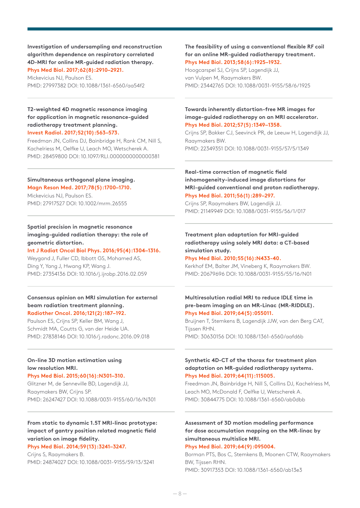**Investigation of undersampling and reconstruction algorithm dependence on respiratory correlated 4D-MRI for online MR-guided radiation therapy. Phys Med Biol. 2017;62(8):2910–2921.**

Mickevicius NJ, Paulson ES. PMID: 27997382 DOI: 10.1088/1361-6560/aa54f2

## **T2-weighted 4D magnetic resonance imaging for application in magnetic resonance-guided radiotherapy treatment planning. Invest Radiol. 2017;52(10):563–573.**

Freedman JN, Collins DJ, Bainbridge H, Rank CM, Nill S, Kachelriess M, Oelfke U, Leach MO, Wetscherek A. PMID: 28459800 DOI: 10.1097/RLI.0000000000000381

#### **Simultaneous orthogonal plane imaging. Magn Reson Med. 2017;78(5):1700–1710.**

Mickevicius NJ, Paulson ES. PMID: 27917527 DOI: 10.1002/mrm.26555

## **Spatial precision in magnetic resonance imaging-guided radiation therapy: the role of geometric distortion.**

#### **Int J Radiat Oncol Biol Phys. 2016;95(4):1304–1316.**

Weygand J, Fuller CD, Ibbott GS, Mohamed AS, Ding Y, Yang J, Hwang KP, Wang J. PMID: 27354136 DOI: 10.1016/j.ijrobp.2016.02.059

#### **Consensus opinion on MRI simulation for external beam radiation treatment planning. Radiother Oncol. 2016;121(2):187–192.**

Paulson ES, Crijns SP, Keller BM, Wang J, Schmidt MA, Coutts G, van der Heide UA. PMID: 27838146 DOI: 10.1016/j.radonc.2016.09.018

## **On-line 3D motion estimation using low resolution MRI.**

#### **Phys Med Biol. 2015;60(16):N301–310.**

Glitzner M, de Senneville BD, Lagendijk JJ, Raaymakers BW, Crijns SP. PMID: 26247427 DOI: 10.1088/0031-9155/60/16/N301

#### **From static to dynamic 1.5T MRI-linac prototype: impact of gantry position related magnetic field variation on image fidelity. Phys Med Biol. 2014;59(13):3241–3247.**

Crijns S, Raaymakers B. PMID: 24874027 DOI: 10.1088/0031-9155/59/13/3241

#### **The feasibility of using a conventional flexible RF coil for an online MR-guided radiotherapy treatment. Phys Med Biol. 2013;58(6):1925–1932.**

Hoogcarspel SJ, Crijns SP, Lagendijk JJ, van Vulpen M, Raaymakers BW. PMID: 23442765 DOI: 10.1088/0031-9155/58/6/1925

#### **Towards inherently distortion-free MR images for image-guided radiotherapy on an MRI accelerator. Phys Med Biol. 2012;57(5):1349–1358.**

Crijns SP, Bakker CJ, Seevinck PR, de Leeuw H, Lagendijk JJ, Raaymakers BW. PMID: 22349351 DOI: 10.1088/0031-9155/57/5/1349

**Real-time correction of magnetic field inhomogeneity-induced image distortions for MRI-guided conventional and proton radiotherapy. Phys Med Biol. 2011;56(1):289–297.**

Crijns SP, Raaymakers BW, Lagendijk JJ. PMID: 21149949 DOI: 10.1088/0031-9155/56/1/017

## **Treatment plan adaptation for MRI-guided radiotherapy using solely MRI data: a CT-based simulation study.**

#### **Phys Med Biol. 2010;55(16):N433-40.**

Kerkhof EM, Balter JM, Vineberg K, Raaymakers BW. PMID: 20679696 DOI: 10.1088/0031-9155/55/16/N01

## **Multiresolution radial MRI to reduce IDLE time in pre-beam imaging on an MR-Linac (MR-RIDDLE). Phys Med Biol. 2019;64(5):055011.**

Bruijnen T, Stemkens B, Lagendijk JJW, van den Berg CAT, Tijssen RHN.

PMID: 30630156 DOI: 10.1088/1361-6560/aafd6b

#### **Synthetic 4D-CT of the thorax for treatment plan adaptation on MR-guided radiotherapy systems. Phys Med Biol. 2019;64(11):115005.**

Freedman JN, Bainbridge H, Nill S, Collins DJ, Kachelriess M, Leach MO, McDonald F, Oelfke U, Wetscherek A. PMID: 30844775 DOI: 10.1088/1361-6560/ab0dbb

## **Assessment of 3D motion modeling performance for dose accumulation mapping on the MR-linac by simultaneous multislice MRI.**

#### **Phys Med Biol. 2019;64(9):095004.**

Borman PTS, Bos C, Stemkens B, Moonen CTW, Raaymakers BW, Tijssen RHN. PMID: 30917353 DOI: 10.1088/1361-6560/ab13e3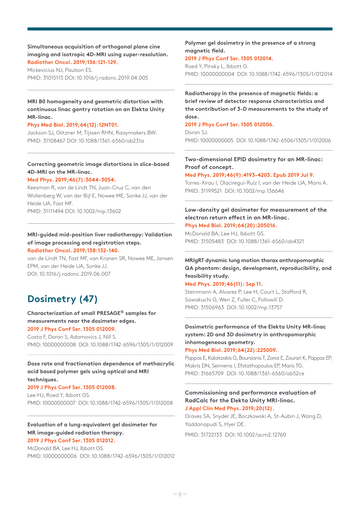#### **Simultaneous acquisition of orthogonal plane cine imaging and isotropic 4D-MRI using super-resolution. Radiother Oncol. 2019;136:121-129.**

Mickevicius NJ, Paulson ES. PMID: 31015113 DOI: 10.1016/j.radonc.2019.04.005

## **MRI B0 homogeneity and geometric distortion with continuous linac gantry rotation on an Elekta Unity MR-linac.**

#### **Phys Med Biol. 2019;64(12):12NT01.**

Jackson SJ, Glitzner M, Tijssen RHN, Raaymakers BW. PMID: 31108467 DOI: 10.1088/1361-6560/ab231a

## **Correcting geometric image distortions in slice-based 4D-MRI on the MR-linac.**

#### **Med Phys. 2019;46(7):3044-3054.**

Keesman R, van de Lindt TN, Juan-Cruz C, van den Wollenberg W, van der Bijl E, Nowee ME, Sonke JJ, van der Heide UA, Fast MF. PMID: 31111494 DOI: 10.1002/mp.13602

#### **MRI-guided mid-position liver radiotherapy: Validation of image processing and registration steps. Radiother Oncol. 2019;138:132-140.**

van de Lindt TN, Fast MF, van Kranen SR, Nowee ME, Jansen EPM, van der Heide UA, Sonke JJ. DOI: 10.1016/j.radonc.2019.06.007

## **Dosimetry (47)**

#### **Characterization of small PRESAGE® samples for measurements near the dosimeter edges. 2019 J Phys Conf Ser. 1305 012009.**

Costa F, Doran S, Adamovics J, Nill S. PMID: 10000000008 DOI: 10.1088/1742-6596/1305/1/012009

## **Dose rate and fractionation dependence of methacrylic acid based polymer gels using optical and MRI techniques.**

#### **2019 J Phys Conf Ser. 1305 012008.**

Lee HJ, Roed Y, Ibbott GS. PMID: 10000000007 DOI: 10.1088/1742-6596/1305/1/012008

#### **Evaluation of a lung-equivalent gel dosimeter for MR image-guided radiation therapy. 2019 J Phys Conf Ser. 1305 012012.**

McDonald BA, Lee HJ, Ibbott GS. PMID: 10000000006 DOI: 10.1088/1742-6596/1305/1/012012

## **Polymer gel dosimetry in the presence of a strong magnetic field.**

#### **2019 J Phys Conf Ser. 1305 012014.**

Roed Y, Pinsky L, Ibbott G. PMID: 10000000004 DOI: 10.1088/1742-6596/1305/1/012014

## **Radiotherapy in the presence of magnetic fields: a brief review of detector response characteristics and the contribution of 3-D measurements to the study of dose.**

#### **2019 J Phys Conf Ser. 1305 012006.**

Doran SJ. PMID: 10000000005 DOI: 10.1088/1742-6506/1305/1/012006

## **Two-dimensional EPID dosimetry for an MR-linac: Proof of concept.**

#### **Med Phys. 2019;46(9):4193-4203. Epub 2019 Jul 9.**

Torres-Xirau I, Olaciregui-Ruiz I, van der Heide UA, Mans A. PMID: 31199521 DOI: 10.1002/mp.136646

#### **Low-density gel dosimeter for measurement of the electron return effect in an MR-linac. Phys Med Biol. 2019;64(20):205016.**

McDonald BA, Lee HJ, Ibbott GS. PMID: 31505483 DOI: 10.1088/1361-6560/ab4321

## **MRIgRT dynamic lung motion thorax anthropomorphic QA phantom: design, development, reproducibility, and feasibility study.**

#### **Med Phys. 2019;46(11): Sep 11.**

Steinmann A, Alvarez P, Lee H, Court L, Stafford R, Sawakuchi G, Wen Z, Fuller C, Followill D. PMID: 31506963 DOI: 10.1002/mp.13757

## **Dosimetric performance of the Elekta Unity MR-linac system: 2D and 3D dosimetry in anthropomorphic inhomogeneous geometry.**

**Phys Med Biol. 2019;64(22):225009.** 

Pappas E, Kalaitzakis G, Boursianis T, Zoros E, Zourari K, Pappas EP, Makris DN, Seimenis I, Efstathopoulos EP, Maris TG. PMID: 31665709 DOI: 10.1088/1361-6560/ab52ce

#### **Commissioning and performance evaluation of RadCalc for the Elekta Unity MRI-linac. J Appl Clin Med Phys. 2019;20(12).**

Graves SA, Snyder JE, Boczkowski A, St-Aubin J, Wang D, Yaddanapudi S, Hyer DE.

PMID: 31722133 DOI: 10.1002/acm2.12760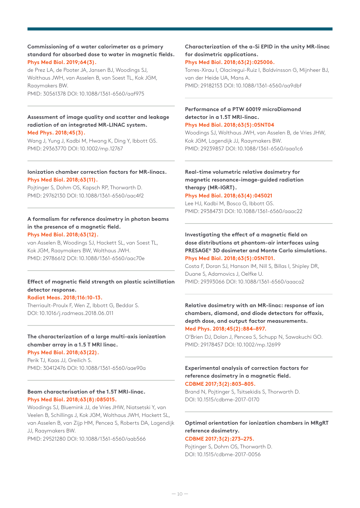## **Commissioning of a water calorimeter as a primary standard for absorbed dose to water in magnetic fields. Phys Med Biol. 2019;64(3).**

de Prez LA, de Pooter JA, Jansen BJ, Woodings SJ, Wolthaus JWH, van Asselen B, van Soest TL, Kok JGM, Raaymakers BW. PMID: 30561378 DOI: 10.1088/1361-6560/aaf975

## **Assessment of image quality and scatter and leakage radiation of an integrated MR-LINAC system. Med Phys. 2018;45(3).**

Wang J, Yung J, Kadbi M, Hwang K, Ding Y, Ibbott GS. PMID: 29363770 DOI: 10.1002/mp.12767

#### **Ionization chamber correction factors for MR-linacs. Phys Med Biol. 2018;63(11).**

Pojtinger S, Dohm OS, Kapsch RP, Thorwarth D. PMID: 29762130 DOI: 10.1088/1361-6560/aac4f2

#### **A formalism for reference dosimetry in photon beams in the presence of a magnetic field. Phys Med Biol. 2018;63(12).**

van Asselen B, Woodings SJ, Hackett SL, van Soest TL, Kok JGM, Raaymakers BW, Wolthaus JWH. PMID: 29786612 DOI: 10.1088/1361-6560/aac70e

## **Effect of magnetic field strength on plastic scintillation detector response.**

#### **Radiat Meas. 2018;116:10-13.**

Therriault-Proulx F, Wen Z, Ibbott G, Beddar S. DOI: 10.1016/j.radmeas.2018.06.011

#### **The characterization of a large multi-axis ionization chamber array in a 1.5 T MRI linac. Phys Med Biol. 2018;63(22).**

Perik TJ, Kaas JJ, Greilich S. PMID: 30412476 DOI: 10.1088/1361-6560/aae90a

## **Beam characterisation of the 1.5T MRI-linac. Phys Med Biol. 2018;63(8):085015.**

Woodings SJ, Bluemink JJ, de Vries JHW, Niatsetski Y, van Veelen B, Schillings J, Kok JGM, Wolthaus JWH, Hackett SL, van Asselen B, van Zijp HM, Pencea S, Roberts DA, Lagendijk JJ, Raaymakers BW. PMID: 29521280 DOI: 10.1088/1361-6560/aab566

## **Characterization of the a-Si EPID in the unity MR-linac for dosimetric applications.**

## **Phys Med Biol. 2018;63(2):025006.**

Torres-Xirau I, Olaciregui-Ruiz I, Baldvinsson G, Mijnheer BJ, van der Heide UA, Mans A. PMID: 29182153 DOI: 10.1088/1361-6560/aa9dbf

## **Performance of a PTW 60019 microDiamond detector in a 1.5T MRI-linac.**

#### **Phys Med Biol. 2018;63(5):05NT04**

Woodings SJ, Wolthaus JWH, van Asselen B, de Vries JHW, Kok JGM, Lagendijk JJ, Raaymakers BW. PMID: 29239857 DOI: 10.1088/1361-6560/aaa1c6

## **Real-time volumetric relative dosimetry for magnetic resonance-image-guided radiation therapy (MR-IGRT).**

#### **Phys Med Biol. 2018;63(4):045021**

Lee HJ, Kadbi M, Bosco G, Ibbott GS. PMID: 29384731 DOI: 10.1088/1361-6560/aaac22

## **Investigating the effect of a magnetic field on dose distributions at phantom-air interfaces using PRESAGE® 3D dosimeter and Monte Carlo simulations. Phys Med Biol. 2018;63(5):05NT01.**

Costa F, Doran SJ, Hanson IM, Nill S, Billas I, Shipley DR, Duane S, Adamovics J, Oelfke U. PMID: 29393066 DOI: 10.1088/1361-6560/aaaca2

## **Relative dosimetry with an MR-linac: response of ion chambers, diamond, and diode detectors for offaxis, depth dose, and output factor measurements. Med Phys. 2018;45(2):884–897.**

O'Brien DJ, Dolan J, Pencea S, Schupp N, Sawakuchi GO. PMID: 29178457 DOI: 10.1002/mp.12699

## **Experimental analysis of correction factors for reference dosimetry in a magnetic field. CDBME 2017;3(2):803–805.**

Brand N, Pojtinger S, Tsitsekidis S, Thorwarth D. DOI: 10.1515/cdbme-2017-0170

## **Optimal orientation for ionization chambers in MRgRT reference dosimetry.**

#### **CDBME 2017;3(2):273–275.**

Poitinger S, Dohm OS, Thorwarth D. DOI: 10.1515/cdbme-2017-0056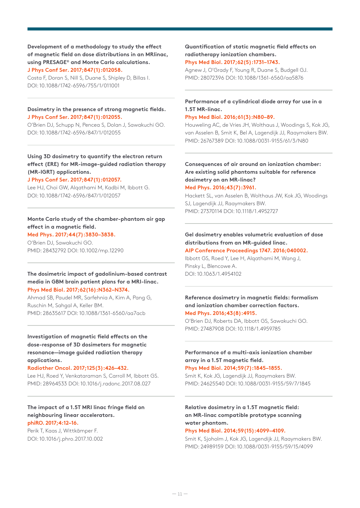**Development of a methodology to study the effect of magnetic field on dose distributions in an MRlinac, using PRESAGE® and Monte Carlo calculations. J Phys Conf Ser. 2017;847(1):012058.**

Costa F, Doran S, Nill S, Duane S, Shipley D, Billas I. DOI: 10.1088/1742-6596/755/1/011001

#### **Dosimetry in the presence of strong magnetic fields. J Phys Conf Ser. 2017;847(1):012055.**

O'Brien DJ, Schupp N, Pencea S, Dolan J, Sawakuchi GO. DOI: 10.1088/1742-6596/847/1/012055

**Using 3D dosimetry to quantify the electron return effect (ERE) for MR-image-guided radiation therapy (MR-IGRT) applications.**

#### **J Phys Conf Ser. 2017;847(1):012057.**

Lee HJ, Choi GW, Alqathami M, Kadbi M, Ibbott G. DOI: 10.1088/1742-6596/847/1/012057

## **Monte Carlo study of the chamber-phantom air gap effect in a magnetic field.**

**Med Phys. 2017;44(7):3830–3838.** O'Brien DJ, Sawakuchi GO.

PMID: 28432792 DOI: 10.1002/mp.12290

#### **The dosimetric impact of gadolinium-based contrast media in GBM brain patient plans for a MRI-linac. Phys Med Biol. 2017;62(16):N362–N374.**

Ahmad SB, Paudel MR, Sarfehnia A, Kim A, Pang G, Ruschin M, Sahgal A, Keller BM. PMID: 28635617 DOI: 10.1088/1361-6560/aa7acb

## **Investigation of magnetic field effects on the dose-response of 3D dosimeters for magnetic resonance—image guided radiation therapy applications.**

#### **Radiother Oncol. 2017;125(3):426–432.**

Lee HJ, Roed Y, Venkataraman S, Carroll M, Ibbott GS. PMID: 28964533 DOI: 10.1016/j.radonc.2017.08.027

#### **The impact of a 1.5T MRI linac fringe field on neighbouring linear accelerators. phiRO. 2017;4:12–16.**

Perik T, Kaas J, Wittkämper F. DOI: 10.1016/j.phro.2017.10.002

#### **Quantification of static magnetic field effects on radiotherapy ionization chambers. Phys Med Biol. 2017;62(5):1731–1743.**

Agnew J, O'Grady F, Young R, Duane S, Budgell GJ. PMID: 28072396 DOI: 10.1088/1361-6560/aa5876

## **Performance of a cylindrical diode array for use in a 1.5T MR-linac.**

#### **Phys Med Biol. 2016;61(3):N80–89.**

Houweling AC, de Vries JH, Wolthaus J, Woodings S, Kok JG, van Asselen B, Smit K, Bel A, Lagendijk JJ, Raaymakers BW. PMID: 26767389 DOI: 10.1088/0031-9155/61/3/N80

## **Consequences of air around an ionization chamber: Are existing solid phantoms suitable for reference dosimetry on an MR-linac?**

**Med Phys. 2016;43(7):3961.**

Hackett SL, van Asselen B, Wolthaus JW, Kok JG, Woodings SJ, Lagendijk JJ, Raaymakers BW. PMID: 27370114 DOI: 10.1118/1.4952727

## **Gel dosimetry enables volumetric evaluation of dose distributions from an MR-guided linac.**

**AIP Conference Proceedings 1747. 2016;040002.** Ibbott GS, Roed Y, Lee H, Alqathami M, Wang J, Pinsky L, Blencowe A. DOI: 10.1063/1.4954102

## **Reference dosimetry in magnetic fields: formalism and ionization chamber correction factors. Med Phys. 2016;43(8):4915.**

O'Brien DJ, Roberts DA, Ibbott GS, Sawakuchi GO. PMID: 27487908 DOI: 10.1118/1.4959785

## **Performance of a multi-axis ionization chamber array in a 1.5T magnetic field.**

**Phys Med Biol. 2014;59(7):1845–1855.**

Smit K, Kok JG, Lagendijk JJ, Raaymakers BW. PMID: 24625540 DOI: 10.1088/0031-9155/59/7/1845

## **Relative dosimetry in a 1.5T magnetic field: an MR-linac compatible prototype scanning water phantom.**

#### **Phys Med Biol. 2014;59(15):4099–4109.**

Smit K, Sjoholm J, Kok JG, Lagendijk JJ, Raaymakers BW. PMID: 24989159 DOI: 10.1088/0031-9155/59/15/4099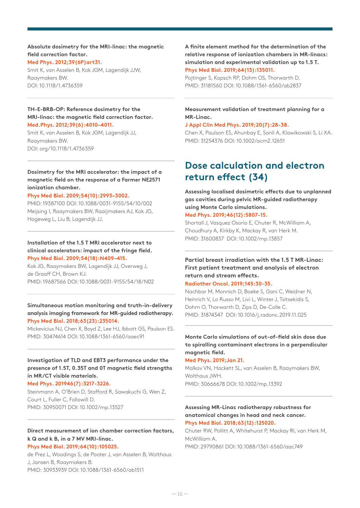#### **Absolute dosimetry for the MRI-linac: the magnetic field correction factor. Med Phys. 2012;39(6P)art31.**

Smit K, van Asselen B, Kok JGM, Lagendijk JJW, Raaymakers BW. DOI: 10.1118/1.4736359

## **TH-E-BRB-OP: Reference dosimetry for the MRI-linac: the magnetic field correction factor.**

**Med.Phys. 2012;39(6):4010–4011.** Smit K, van Asselen B, Kok JGM, Lagendijk JJ, Raaymakers BW. DOI: org/10.1118/1.4736359

## **Dosimetry for the MRI accelerator: the impact of a magnetic field on the response of a Farmer NE2571 ionization chamber.**

#### **Phys Med Biol. 2009;54(10):2993–3002.**

PMID: 19387100 DOI: 10.1088/0031-9155/54/10/002 Meijsing I, Raaymakers BW, Raaijmakers AJ, Kok JG, Hogeweg L, Liu B, Lagendijk JJ.

### **Installation of the 1.5 T MRI accelerator next to clinical accelerators: impact of the fringe field. Phys Med Biol. 2009;54(18):N409–415.**

Kok JG, Raaymakers BW, Lagendijk JJ, Overweg J, de Graaff CH, Brown KJ. PMID: 19687566 DOI: 10.1088/0031-9155/54/18/N02

#### **Simultaneous motion monitoring and truth-in-delivery analysis imaging framework for MR-guided radiotherapy. Phys Med Biol. 2018;63(23):235014.**

Mickevicius NJ, Chen X, Boyd Z, Lee HJ, Ibbott GS, Paulson ES. PMID: 30474614 DOI: 10.1088/1361-6560/aaec91

## **Investigation of TLD and EBT3 performance under the presence of 1.5T, 0.35T and 0T magnetic field strengths in MR/CT visible materials.**

#### **Med Phys. 201946(7):3217-3226.**

Steinmann A, O'Brien D, Stafford R, Sawakuchi G, Wen Z, Court L, Fuller C, Followill D. PMID: 30950071 DOI: 10.1002/mp.13527

#### **Direct measurement of ion chamber correction factors, k Q and k B, in a 7 MV MRI-linac. Phys Med Biol. 2019;64(10):105025.**

de Prez L, Woodings S, de Pooter J, van Asselen B, Wolthaus J, Jansen B, Raaymakers B. PMID: 30933939 DOI: 10.1088/1361-6560/ab1511

**A finite element method for the determination of the relative response of ionization chambers in MR-linacs: simulation and experimental validation up to 1.5 T. Phys Med Biol. 2019;64(13):135011.**

Pojtinger S, Kapsch RP, Dohm OS, Thorwarth D. PMID: 31181560 DOI: 10.1088/1361-6560/ab2837

#### **Measurement validation of treatment planning for a MR-Linac.**

#### **J Appl Clin Med Phys. 2019;20(7):28-38.**

Chen X, Paulson ES, Ahunbay E, Sanli A, Klawikowski S, Li XA. PMID: 31254376 DOI: 10.1002/acm2.12651

## **Dose calculation and electron return effect (34)**

**Assessing localised dosimetric effects due to unplanned gas cavities during pelvic MR-guided radiotherapy using Monte Carlo simulations.**

#### **Med Phys. 2019;46(12):5807-15.**

Shortall J, Vasquez Osorio E, Chuter R, McWilliam A, Choudhury A, Kirkby K, Mackay R, van Herk M. PMID: 31600837 DOI: 10.1002/mp.13857

## **Partial breast irradiation with the 1.5 T MR-Linac: First patient treatment and analysis of electron return and stream effects.**

## **Radiother Oncol. 2019;145:30-35.**

Nachbar M, Monnich D, Boeke S, Gani C, Weidner N, Heinrich V, Lo Russo M, Livi L, Winter J, Tsitsekidis S, Dohm O, Thorwarth D, Zips D, De-Colle C. PMID: 31874347 DOI: 10.1016/j.radonc.2019.11.025

## **Monte Carlo simulations of out-of-field skin dose due to spiralling contaminant electrons in a perpendicular magnetic field.**

#### **Med Phys. 2019;Jan 21.**

Malkov VN, Hackett SL, van Asselen B, Raaymakers BW, Wolthaus JWH. PMID: 30666678 DOI: 10.1002/mp.13392

#### **Assessing MR-Linac radiotherapy robustness for anatomical changes in head and neck cancer. Phys Med Biol. 2018;63(12):125020.**

Chuter RW, Pollitt A, Whitehurst P, Mackay RI, van Herk M, McWilliam A. PMID: 29790861 DOI: 10.1088/1361-6560/aac749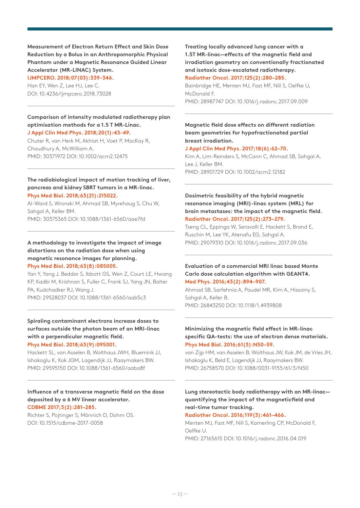**Measurement of Electron Return Effect and Skin Dose Reduction by a Bolus in an Anthropomorphic Physical Phantom under a Magnetic Resonance Guided Linear Accelerator (MR-LINAC) System.**

**IJMPCERO. 2018;07(03):339-346.**

Han EY, Wen Z, Lee HJ, Lee C. DOI: 10.4236/ijmpcero.2018.73028

## **Comparison of intensity modulated radiotherapy plan optimisation methods for a 1.5 T MR-Linac. J Appl Clin Med Phys. 2018;20(1):43-49.**

Chuter R, van Herk M, Akhiat H, Voet P, MacKay R, Choudhury A, McWilliam A. PMID: 30371972 DOI: 10.1002/acm2.12475

## **The radiobiological impact of motion tracking of liver, pancreas and kidney SBRT tumors in a MR-linac. Phys Med Biol. 2018;63(21):215022.**

Al-Ward S, Wronski M, Ahmad SB, Myrehaug S, Chu W, Sahgal A, Keller BM. PMID: 30375365 DOI: 10.1088/1361-6560/aae7fd

**A methodology to investigate the impact of image distortions on the radiation dose when using magnetic resonance images for planning. Phys Med Biol. 2018;63(8):085005.**

Yan Y, Yang J, Beddar S, Ibbott GS, Wen Z, Court LE, Hwang KP, Kadbi M, Krishnan S, Fuller C, Frank SJ, Yang JN, Balter PA, Kudchadker RJ, Wang J. PMID: 29528037 DOI: 10.1088/1361-6560/aab5c3

## **Spiraling contaminant electrons increase doses to surfaces outside the photon beam of an MRI-linac with a perpendicular magnetic field. Phys Med Biol. 2018;63(9):095001.**

Hackett SL, van Asselen B, Wolthaus JWH, Bluemink JJ, Ishakoglu K, Kok JGM, Lagendijk JJ, Raaymakers BW. PMID: 29595150 DOI: 10.1088/1361-6560/aaba8f

#### **Influence of a transverse magnetic field on the dose deposited by a 6 MV linear accelerator. CDBME 2017;3(2):281–285.**

Richter S, Pojtinger S, Mönnich D, Dohm OS. DOI: 10.1515/cdbme-2017-0058

**Treating locally advanced lung cancer with a 1.5T MR-linac—effects of the magnetic field and irradiation geometry on conventionally fractionated and isotoxic dose-escalated radiotherapy. Radiother Oncol. 2017;125(2):280–285.**

Bainbridge HE, Menten MJ, Fast MF, Nill S, Oelfke U, McDonald F. PMID: 28987747 DOI: 10.1016/j.radonc.2017.09.009

## **Magnetic field dose effects on different radiation beam geometries for hypofractionated partial breast irradiation.**

#### **J Appl Clin Med Phys. 2017;18(6):62–70.**

Kim A, Lim-Reinders S, McCann C, Ahmad SB, Sahgal A, Lee J, Keller BM. PMID: 28901729 DOI: 10.1002/acm2.12182

**Dosimetric feasibility of the hybrid magnetic resonance imaging (MRI)-linac system (MRL) for brain metastases: the impact of the magnetic field. Radiother Oncol. 2017;125(2):273–279.**

Tseng CL, Eppinga W, Seravalli E, Hackett S, Brand E, Ruschin M, Lee YK, Atenafu EG, Sahgal A. PMID: 29079310 DOI: 10.1016/j.radonc.2017.09.036

## **Evaluation of a commercial MRI linac based Monte Carlo dose calculation algorithm with GEANT4. Med Phys. 2016;43(2):894–907.**

Ahmad SB, Sarfehnia A, Paudel MR, Kim A, Hissoiny S, Sahgal A, Keller B. PMID: 26843250 DOI: 10.1118/1.4939808

## **Minimizing the magnetic field effect in MR-linac specific QA-tests: the use of electron dense materials. Phys Med Biol. 2016;61(3):N50–59.**

van Zijp HM, van Asselen B, Wolthaus JW, Kok JM, de Vries JH, Ishakoglu K, Beld E, Lagendijk JJ, Raaymakers BW. PMID: 26758570 DOI: 10.1088/0031-9155/61/3/N50

## **Lung stereotactic body radiotherapy with an MR-linac quantifying the impact of the magneticfield and real-time tumor tracking.**

**Radiother Oncol. 2016;119(3):461–466.**

Menten MJ, Fast MF, Nill S, Kamerling CP, McDonald F, Oelfke U. PMID: 27165615 DOI: 10.1016/j.radonc.2016.04.019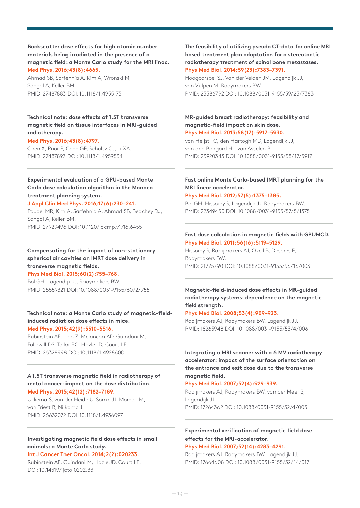**Backscatter dose effects for high atomic number materials being irradiated in the presence of a magnetic field: a Monte Carlo study for the MRI linac. Med Phys. 2016;43(8):4665.**

Ahmad SB, Sarfehnia A, Kim A, Wronski M, Sahgal A, Keller BM. PMID: 27487883 DOI: 10.1118/1.4955175

## **Technical note: dose effects of 1.5T transverse magnetic field on tissue interfaces in MRI-guided radiotherapy.**

#### **Med Phys. 2016;43(8):4797.**

Chen X, Prior P, Chen GP, Schultz CJ, Li XA. PMID: 27487897 DOI: 10.1118/1.4959534

## **Experimental evaluation of a GPU-based Monte Carlo dose calculation algorithm in the Monaco treatment planning system.**

### **J Appl Clin Med Phys. 2016;17(6):230–241.**

Paudel MR, Kim A, Sarfehnia A, Ahmad SB, Beachey DJ, Sahgal A, Keller BM. PMID: 27929496 DOI: 10.1120/jacmp.v17i6.6455

**Compensating for the impact of non-stationary spherical air cavities on IMRT dose delivery in transverse magnetic fields.**

**Phys Med Biol. 2015;60(2):755–768.** Bol GH, Lagendijk JJ, Raaymakers BW.

PMID: 25559321 DOI: 10.1088/0031-9155/60/2/755

#### **Technical note: a Monte Carlo study of magnetic-fieldinduced radiation dose effects in mice. Med Phys. 2015;42(9):5510–5516.**

Rubinstein AE, Liao Z, Melancon AD, Guindani M, Followill DS, Tailor RC, Hazle JD, Court LE. PMID: 26328998 DOI: 10.1118/1.4928600

## **A 1.5T transverse magnetic field in radiotherapy of rectal cancer: impact on the dose distribution. Med Phys. 2015;42(12):7182–7189.**

Uilkema S, van der Heide U, Sonke JJ, Moreau M, van Triest B, Nijkamp J. PMID: 26632072 DOI: 10.1118/1.4936097

## **Investigating magnetic field dose effects in small animals: a Monte Carlo study.**

## **Int J Cancer Ther Oncol. 2014;2(2):020233.**

Rubinstein AE, Guindani M, Hazle JD, Court LE. DOI: 10.14319/ijcto.0202.33

**The feasibility of utilizing pseudo CT-data for online MRI based treatment plan adaptation for a stereotactic radiotherapy treatment of spinal bone metastases. Phys Med Biol. 2014;59(23):7383–7391.**

Hoogcarspel SJ, Van der Velden JM, Lagendijk JJ, van Vulpen M, Raaymakers BW. PMID: 25386792 DOI: 10.1088/0031-9155/59/23/7383

#### **MR-guided breast radiotherapy: feasibility and magnetic-field impact on skin dose. Phys Med Biol. 2013;58(17):5917–5930.**

van Heijst TC, den Hartogh MD, Lagendijk JJ, van den Bongard HJ, van Asselen B. PMID: 23920343 DOI: 10.1088/0031-9155/58/17/5917

## **Fast online Monte Carlo-based IMRT planning for the MRI linear accelerator.**

#### **Phys Med Biol. 2012;57(5):1375–1385.**

Bol GH, Hissoiny S, Lagendijk JJ, Raaymakers BW. PMID: 22349450 DOI: 10.1088/0031-9155/57/5/1375

## **Fast dose calculation in magnetic fields with GPUMCD. Phys Med Biol. 2011;56(16):5119–5129.**

Hissoiny S, Raaijmakers AJ, Ozell B, Despres P, Raaymakers BW. PMID: 21775790 DOI: 10.1088/0031-9155/56/16/003

## **Magnetic-field-induced dose effects in MR-guided radiotherapy systems: dependence on the magnetic field strength.**

#### **Phys Med Biol. 2008;53(4):909–923.**

Raaijmakers AJ, Raaymakers BW, Lagendijk JJ. PMID: 18263948 DOI: 10.1088/0031-9155/53/4/006

## **Integrating a MRI scanner with a 6 MV radiotherapy accelerator: impact of the surface orientation on the entrance and exit dose due to the transverse magnetic field.**

#### **Phys Med Biol. 2007;52(4):929–939.**

Raaijmakers AJ, Raaymakers BW, van der Meer S, Lagendijk JJ. PMID: 17264362 DOI: 10.1088/0031-9155/52/4/005

## **Experimental verification of magnetic field dose effects for the MRI-accelerator.**

**Phys Med Biol. 2007;52(14):4283–4291.**

Raaijmakers AJ, Raaymakers BW, Lagendijk JJ. PMID: 17664608 DOI: 10.1088/0031-9155/52/14/017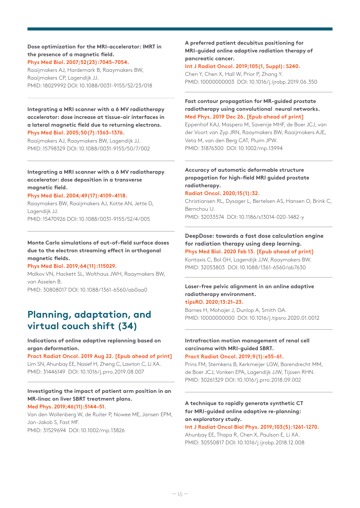**Dose optimization for the MRI-accelerator: IMRT in the presence of a magnetic field. Phys Med Biol. 2007;52(23):7045–7054.**

Raaijmakers AJ, Hardemark B, Raaymakers BW, Raaijmakers CP, Lagendijk JJ. PMID: 18029992 DOI: 10.1088/0031-9155/52/23/018

## **Integrating a MRI scanner with a 6 MV radiotherapy accelerator: dose increase at tissue-air interfaces in a lateral magnetic field due to returning electrons. Phys Med Biol. 2005;50(7):1363–1376.**

Raaijmakers AJ, Raaymakers BW, Lagendijk JJ. PMID: 15798329 DOI: 10.1088/0031-9155/50/7/002

## **Integrating a MRI scanner with a 6 MV radiotherapy accelerator: dose deposition in a transverse magnetic field.**

#### **Phys Med Biol. 2004;49(17):4109–4118.**

Raaymakers BW, Raaijmakers AJ, Kotte AN, Jette D, Lagendijk JJ. PMID: 15470926 DOI: 10.1088/0031-9155/52/4/005

**Monte Carlo simulations of out-of-field surface doses due to the electron streaming effect in orthogonal magnetic fields.**

#### **Phys Med Biol. 2019;64(11):115029.**

Malkov VN, Hackett SL, Wolthaus JWH, Raaymakers BW, van Asselen B. PMID: 30808017 DOI: 10.1088/1361-6560/ab0aa0

## **Planning, adaptation, and virtual couch shift (34)**

#### **Indications of online adaptive replanning based on organ deformation.**

**Pract Radiat Oncol. 2019 Aug 22. [Epub ahead of print]**  Lim SN, Ahunbay EE, Nasief H, Zheng C, Lawton C, Li XA. PMID: 31446149 DOI: 10.1016/j.prro.2019.08.007

#### **Investigating the impact of patient arm position in an MR-linac on liver SBRT treatment plans. Med Phys. 2019;46(11):5144–51.**

Van den Wollenberg W, de Ruiter P, Nowee ME, Jansen EPM, Jan-Jakob S, Fast MF. PMID: 31529694 DOI: 10.1002/mp.13826

## **A preferred patient decubitus positioning for MRI-guided online adaptive radiation therapy of pancreatic cancer.**

**Int J Radiat Oncol. 2019;105(1, Suppl): S240.** 

Chen Y, Chen X, Hall W, Prior P, Zhang Y. PMID: 10000000003 DOI: 10.1016/j.ijrobp.2019.06.350

## **Fast contour propagation for MR-guided prostate radiotherapy using convolutional neural networks. Med Phys. 2019 Dec 26. [Epub ahead of print]**

Eppenhof KAJ, Maspero M, Savenije MHF, de Boer JCJ, van der Voort van Zyp JRN, Raaymakers BW, Raaijmakers AJE, Veta M, van den Berg CAT, Pluim JPW. PMID: 31876300 DOI: 10.1002/mp.13994

## **Accuracy of automatic deformable structure propagation for high-field MRI guided prostate radiotherapy.**

#### **Radiat Oncol. 2020;15(1):32.**

Christiansen RL, Dysager L, Bertelsen AS, Hansen O, Brink C, Bernchou U.

PMID: 32033574 DOI: 10.1186/s13014-020-1482-y

## **DeepDose: towards a fast dose calculation engine for radiation therapy using deep learning.**

## **Phys Med Biol. 2020 Feb 13. [Epub ahead of print]**

Kontaxis C, Bol GH, Lagendijk JJW, Raaymakers BW. PMID: 32053803 DOI: 10.1088/1361-6560/ab7630

#### **Laser-free pelvic alignment in an online adaptive radiotherapy environment. tipsRO. 2020;13:21–23.**

Barnes H, Mohajer J, Dunlop A, Smith GA. PMID: 10000000000 DOI: 10.1016/j.tipsro.2020.01.0012

## **Intrafraction motion management of renal cell carcinoma with MRI-guided SBRT.**

## **Pract Radiat Oncol. 2019;9(1):e55-61.**

Prins FM, Stemkens B, Kerkmeijer LGW, Barendrecht MM, de Boer JCJ, Vonken EPA, Lagendijk JJW, Tijssen RHN. PMID: 30261329 DOI: 10.1016/j.prro.2018.09.002

## **A technique to rapidly generate synthetic CT for MRI-guided online adaptive re-planning: an exploratory study.**

#### **Int J Radiat Oncol Biol Phys. 2019;103(5):1261-1270.**

Ahunbay EE, Thapa R, Chen X, Paulson E, Li XA. PMID: 30550817 DOI: 10.1016/j.ijrobp.2018.12.008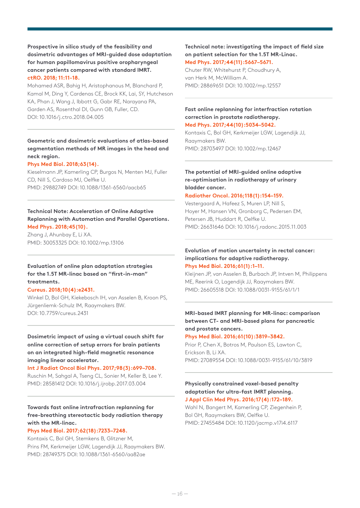## **Prospective in silico study of the feasibility and dosimetric advantages of MRI-guided dose adaptation for human papillomavirus positive oropharyngeal cancer patients compared with standard IMRT. ctRO. 2018; 11:11-18.**

Mohamed ASR, Bahig H, Aristophanous M, Blanchard P, Kamal M, Ding Y, Cardenas CE, Brock KK, Lai, SY, Hutcheson KA, Phan J, Wang J, Ibbott G, Gabr RE, Narayana PA, Garden AS, Rosenthal DI, Gunn GB, Fuller, CD. DOI: 10.1016/j.ctro.2018.04.005

## **Geometric and dosimetric evaluations of atlas-based segmentation methods of MR images in the head and neck region.**

#### **Phys Med Biol. 2018;63(14).**

Kieselmann JP, Kamerling CP, Burgos N, Menten MJ, Fuller CD, Nill S, Cardoso MJ, Oelfke U. PMID: 29882749 DOI: 10.1088/1361-6560/aacb65

## **Technical Note: Acceleration of Online Adaptive Replanning with Automation and Parallel Operations. Med Phys. 2018;45(10).**

Zhang J, Ahunbay E, Li XA. PMID: 30053325 DOI: 10.1002/mp.13106

## **Evaluation of online plan adaptation strategies for the 1.5T MR-linac based on "first-in-man" treatments.**

#### **Cureus. 2018;10(4):e2431.**

Winkel D, Bol GH, Kiekebosch IH, van Asselen B, Kroon PS, Jürgenliemk-Schulz IM, Raaymakers BW. DOI: 10.7759/cureus.2431

## **Dosimetric impact of using a virtual couch shift for online correction of setup errors for brain patients on an integrated high-field magnetic resonance imaging linear accelerator.**

## **Int J Radiat Oncol Biol Phys. 2017;98(3):699–708.** Ruschin M, Sahgal A, Tseng CL, Sonier M, Keller B, Lee Y. PMID: 28581412 DOI: 10.1016/j.ijrobp.2017.03.004

## **Towards fast online intrafraction replanning for free-breathing stereotactic body radiation therapy with the MR-linac.**

#### **Phys Med Biol. 2017;62(18):7233–7248.**

Kontaxis C, Bol GH, Stemkens B, Glitzner M, Prins FM, Kerkmeijer LGW, Lagendijk JJ, Raaymakers BW. PMID: 28749375 DOI: 10.1088/1361-6560/aa82ae

## **Technical note: investigating the impact of field size on patient selection for the 1.5T MR-Linac. Med Phys. 2017;44(11):5667–5671.**

Chuter RW, Whitehurst P, Choudhury A, van Herk M, McWilliam A. PMID: 28869651 DOI: 10.1002/mp.12557

## **Fast online replanning for interfraction rotation correction in prostate radiotherapy.**

**Med Phys. 2017;44(10):5034–5042.** Kontaxis C, Bol GH, Kerkmeijer LGW, Lagendijk JJ, Raaymakers BW. PMID: 28703497 DOI: 10.1002/mp.12467

## **The potential of MRI-guided online adaptive re-optimisation in radiotherapy of urinary bladder cancer.**

#### **Radiother Oncol. 2016;118(1):154–159.**

Vestergaard A, Hafeez S, Muren LP, Nill S, Hoyer M, Hansen VN, Gronborg C, Pedersen EM, Petersen JB, Huddart R, Oelfke U. PMID: 26631646 DOI: 10.1016/j.radonc.2015.11.003

## **Evolution of motion uncertainty in rectal cancer: implications for adaptive radiotherapy. Phys Med Biol. 2016;61(1):1–11.**

Kleijnen JP, van Asselen B, Burbach JP, Intven M, Philippens ME, Reerink O, Lagendijk JJ, Raaymakers BW. PMID: 26605518 DOI: 10.1088/0031-9155/61/1/1

## **MRI-based IMRT planning for MR-linac: comparison between CT- and MRI-based plans for pancreatic and prostate cancers.**

#### **Phys Med Biol. 2016;61(10):3819–3842.**

Prior P, Chen X, Botros M, Paulson ES, Lawton C, Erickson B, Li XA. PMID: 27089554 DOI: 10.1088/0031-9155/61/10/3819

### **Physically constrained voxel-based penalty adaptation for ultra-fast IMRT planning. J Appl Clin Med Phys. 2016;17(4):172–189.**

Wahl N, Bangert M, Kamerling CP, Ziegenhein P, Bol GH, Raaymakers BW, Oelfke U. PMID: 27455484 DOI: 10.1120/jacmp.v17i4.6117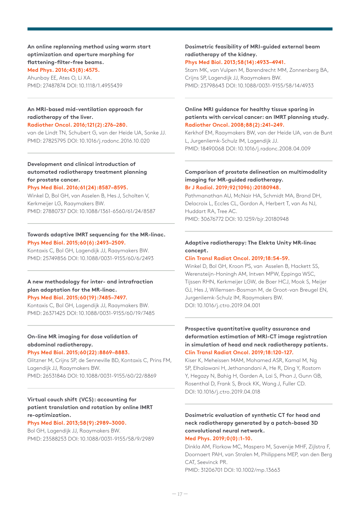**An online replanning method using warm start optimization and aperture morphing for flattening-filter-free beams. Med Phys. 2016;43(8):4575.**

Ahunbay EE, Ates O, Li XA. PMID: 27487874 DOI: 10.1118/1.4955439

#### **An MRI-based mid-ventilation approach for radiotherapy of the liver.**

#### **Radiother Oncol. 2016;121(2):276–280.**

van de Lindt TN, Schubert G, van der Heide UA, Sonke JJ. PMID: 27825795 DOI: 10.1016/j.radonc.2016.10.020

## **Development and clinical introduction of automated radiotherapy treatment planning for prostate cancer.**

#### **Phys Med Biol. 2016;61(24):8587–8595.**

Winkel D, Bol GH, van Asselen B, Hes J, Scholten V, Kerkmeijer LG, Raaymakers BW. PMID: 27880737 DOI: 10.1088/1361-6560/61/24/8587

#### **Towards adaptive IMRT sequencing for the MR-linac. Phys Med Biol. 2015;60(6):2493–2509.**

Kontaxis C, Bol GH, Lagendijk JJ, Raaymakers BW. PMID: 25749856 DOI: 10.1088/0031-9155/60/6/2493

## **A new methodology for inter- and intrafraction plan adaptation for the MR-linac. Phys Med Biol. 2015;60(19):7485–7497.**

Kontaxis C, Bol GH, Lagendijk JJ, Raaymakers BW. PMID: 26371425 DOI: 10.1088/0031-9155/60/19/7485

## **On-line MR imaging for dose validation of abdominal radiotherapy.**

## **Phys Med Biol. 2015;60(22):8869–8883.**

Glitzner M, Crijns SP, de Senneville BD, Kontaxis C, Prins FM, Lagendijk JJ, Raaymakers BW. PMID: 26531846 DOI: 10.1088/0031-9155/60/22/8869

## **Virtual couch shift (VCS): accounting for patient translation and rotation by online IMRT re-optimization.**

#### **Phys Med Biol. 2013;58(9):2989–3000.**

Bol GH, Lagendijk JJ, Raaymakers BW. PMID: 23588253 DOI: 10.1088/0031-9155/58/9/2989

## **Dosimetric feasibility of MRI-guided external beam radiotherapy of the kidney. Phys Med Biol. 2013;58(14):4933–4941.**

Stam MK, van Vulpen M, Barendrecht MM, Zonnenberg BA, Crijns SP, Lagendijk JJ, Raaymakers BW. PMID: 23798643 DOI: 10.1088/0031-9155/58/14/4933

#### **Online MRI guidance for healthy tissue sparing in patients with cervical cancer: an IMRT planning study. Radiother Oncol. 2008;88(2):241–249.**

Kerkhof EM, Raaymakers BW, van der Heide UA, van de Bunt L, Jurgenliemk-Schulz IM, Lagendijk JJ. PMID: 18490068 DOI: 10.1016/j.radonc.2008.04.009

#### **Comparison of prostate delineation on multimodality imaging for MR-guided radiotherapy. Br J Radiol. 2019;92(1096):20180948.**

Pathmanathan AU, McNair HA, Schmidt MA, Brand DH, Delacroix L, Eccles CL, Gordon A, Herbert T, van As NJ, Huddart RA, Tree AC. PMID: 30676772 DOI: 10.1259/bjr.20180948

## **Adaptive radiotherapy: The Elekta Unity MR-linac concept.**

#### **Clin Transl Radiat Oncol. 2019;18:54-59.**

Winkel D, Bol GH, Kroon PS, van Asselen B, Hackett SS, Werensteijn-Honingh AM, Intven MPW, Eppinga WSC, Tijssen RHN, Kerkmeijer LGW, de Boer HCJ, Mook S, Meijer GJ, Hes J, Willemsen-Bosman M, de Groot-van Breugel EN, Jurgenliemk-Schulz IM, Raaymakers BW. DOI: 10.1016/j.ctro.2019.04.001

## **Prospective quantitative quality assurance and deformation estimation of MRI-CT image registration in simulation of head and neck radiotherapy patients. Clin Transl Radiat Oncol. 2019;18:120-127.**

Kiser K, Meheissen MAM, Mohamed ASR, Kamal M, Ng SP, Elhalawani H, Jethanandani A, He R, Ding Y, Rostom Y, Hegazy N, Bahig H, Garden A, Lai S, Phan J, Gunn GB, Rosenthal D, Frank S, Brock KK, Wang J, Fuller CD. DOI: 10.1016/j.ctro.2019.04.018

## **Dosimetric evaluation of synthetic CT for head and neck radiotherapy generated by a patch-based 3D convolutional neural network.**

#### **Med Phys. 2019;0(0):1-10.**

Dinkla AM, Florkow MC, Maspero M, Savenije MHF, Zijlstra F, Doornaert PAH, van Stralen M, Philippens MEP, van den Berg CAT, Seevinck PR.

PMID: 31206701 DOI: 10.1002/mp.13663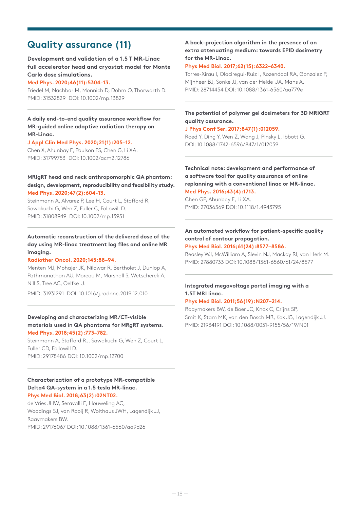## **Quality assurance (11)**

**Development and validation of a 1.5 T MR-Linac full accelerator head and cryostat model for Monte Carlo dose simulations.**

#### **Med Phys. 2020;46(11):5304-13.**

Friedel M, Nachbar M, Monnich D, Dohm O, Thorwarth D. PMID: 31532829 DOI: 10.1002/mp.13829

**A daily end-to-end quality assurance workflow for MR-guided online adaptive radiation therapy on MR-Linac.**

#### **J Appl Clin Med Phys. 2020;21(1):205–12.**

Chen X, Ahunbay E, Paulson ES, Chen G, Li XA. PMID: 31799753 DOI: 10.1002/acm2.12786

## **MRIgRT head and neck anthropomorphic QA phantom: design, development, reproducibility and feasibility study. Med Phys. 2020;47(2):604-13.**

Steinmann A, Alvarez P, Lee H, Court L, Stafford R, Sawakuchi G, Wen Z, Fuller C, Followill D. PMID: 31808949 DOI: 10.1002/mp.13951

**Automatic reconstruction of the delivered dose of the day using MR-linac treatment log files and online MR imaging.**

#### **Radiother Oncol. 2020;145:88–94.**

Menten MJ, Mohajer JK, Nilawar R, Bertholet J, Dunlop A, Pathmanathan AU, Moreau M, Marshall S, Wetscherek A, Nill S, Tree AC, Oelfke U.

PMID: 31931291 DOI: 10.1016/j.radonc.2019.12.010

#### **Developing and characterizing MR/CT-visible materials used in QA phantoms for MRgRT systems. Med Phys. 2018;45(2):773–782.**

Steinmann A, Stafford RJ, Sawakuchi G, Wen Z, Court L, Fuller CD, Followill D. PMID: 29178486 DOI: 10.1002/mp.12700

#### **Characterization of a prototype MR-compatible Delta4 QA-system in a 1.5 tesla MR-linac. Phys Med Biol. 2018;63(2):02NT02.**

de Vries JHW, Seravalli E, Houweling AC, Woodings SJ, van Rooij R, Wolthaus JWH, Lagendijk JJ, Raaymakers BW. PMID: 29176067 DOI: 10.1088/1361-6560/aa9d26

## **A back-projection algorithm in the presence of an extra attenuating medium: towards EPID dosimetry for the MR-Linac.**

#### **Phys Med Biol. 2017;62(15):6322–6340.**

Torres-Xirau I, Olaciregui-Ruiz I, Rozendaal RA, Gonzalez P, Mijnheer BJ, Sonke JJ, van der Heide UA, Mans A. PMID: 28714454 DOI: 10.1088/1361-6560/aa779e

## **The potential of polymer gel dosimeters for 3D MRIGRT quality assurance.**

#### **J Phys Conf Ser. 2017;847(1):012059.**

Roed Y, Ding Y, Wen Z, Wang J, Pinsky L, Ibbott G. DOI: 10.1088/1742-6596/847/1/012059

**Technical note: development and performance of a software tool for quality assurance of online replanning with a conventional linac or MR-linac. Med Phys. 2016;43(4):1713.**

Chen GP, Ahunbay E, Li XA. PMID: 27036569 DOI: 10.1118/1.4943795

## **An automated workflow for patient-specific quality control of contour propagation.**

**Phys Med Biol. 2016;61(24):8577–8586.**

Beasley WJ, McWilliam A, Slevin NJ, Mackay RI, van Herk M. PMID: 27880733 DOI: 10.1088/1361-6560/61/24/8577

#### **Integrated megavoltage portal imaging with a 1.5T MRI linac.**

#### **Phys Med Biol. 2011;56(19):N207–214.**

Raaymakers BW, de Boer JC, Knox C, Crijns SP, Smit K, Stam MK, van den Bosch MR, Kok JG, Lagendijk JJ. PMID: 21934191 DOI: 10.1088/0031-9155/56/19/N01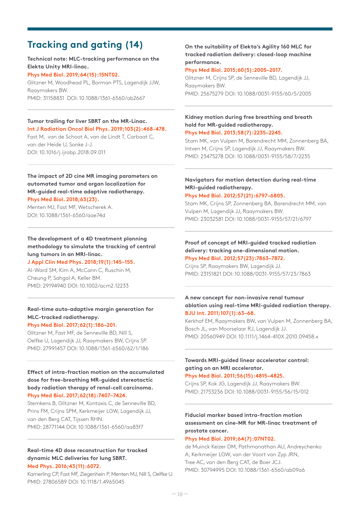## **Tracking and gating (14)**

**Technical note: MLC-tracking performance on the Elekta Unity MRI-linac.**

## **Phys Med Biol. 2019;64(15):15NT02.**

Glitzner M, Woodhead PL, Borman PTS, Lagendijk JJW, Raaymakers BW. PMID: 31158831 DOI: 10.1088/1361-6560/ab2667

## **Tumor trailing for liver SBRT on the MR-Linac. Int J Radiation Oncol Biol Phys. 2019;103(2):468-478.**

Fast M, van de Schoot A, van de Lindt T, Carbaat C, van der Heide U, Sonke J-J. DOI: 10.1016/j.ijrobp.2018.09.011

## **The impact of 2D cine MR imaging parameters on automated tumor and organ localization for MR-guided real-time adaptive radiotherapy. Phys Med Biol. 2018;63(23).**

Menten MJ, Fast MF, Wetscherek A. DOI: 10.1088/1361-6560/aae74d

#### **The development of a 4D treatment planning methodology to simulate the tracking of central lung tumors in an MRI-linac. J Appl Clin Med Phys. 2018;19(1):145–155.**

Al-Ward SM, Kim A, McCann C, Ruschin M, Cheung P, Sahgal A, Keller BM. PMID: 29194940 DOI: 10.1002/acm2.12233

## **Real-time auto-adaptive margin generation for MLC-tracked radiotherapy.**

#### **Phys Med Biol. 2017;62(1):186–201.**

Glitzner M, Fast MF, de Senneville BD, Nill S, Oelfke U, Lagendijk JJ, Raaymakers BW, Crijns SP. PMID: 27991457 DOI: 10.1088/1361-6560/62/1/186

## **Effect of intra-fraction motion on the accumulated dose for free-breathing MR-guided stereotactic body radiation therapy of renal-cell carcinoma. Phys Med Biol. 2017;62(18):7407–7424.**

Stemkens B, Glitzner M, Kontaxis C, de Senneville BD, Prins FM, Crijns SPM, Kerkmeijer LGW, Lagendijk JJ, van den Berg CAT, Tijssen RHN. PMID: 28771144 DOI: 10.1088/1361-6560/aa83f7

#### **Real-time 4D dose reconstruction for tracked dynamic MLC deliveries for lung SBRT. Med Phys. 2016;43(11):6072.**

Kamerling CP, Fast MF, Ziegenhein P, Menten MJ, Nill S, Oelfke U. PMID: 27806589 DOI: 10.1118/1.4965045

## **On the suitability of Elekta's Agility 160 MLC for tracked radiation delivery: closed-loop machine performance.**

## **Phys Med Biol. 2015;60(5):2005–2017.**

Glitzner M, Crijns SP, de Senneville BD, Lagendijk JJ, Raaymakers BW. PMID: 25675279 DOI: 10.1088/0031-9155/60/5/2005

#### **Kidney motion during free breathing and breath hold for MR-guided radiotherapy. Phys Med Biol. 2013;58(7):2235–2245.**

Stam MK, van Vulpen M, Barendrecht MM, Zonnenberg BA, Intven M, Crijns SP, Lagendijk JJ, Raaymakers BW. PMID: 23475278 DOI: 10.1088/0031-9155/58/7/2235

## **Navigators for motion detection during real-time MRI-guided radiotherapy.**

#### **Phys Med Biol. 2012;57(21):6797–6805.**

Stam MK, Crijns SP, Zonnenberg BA, Barendrecht MM, van Vulpen M, Lagendijk JJ, Raaymakers BW. PMID: 23032581 DOI: 10.1088/0031-9155/57/21/6797

#### **Proof of concept of MRI-guided tracked radiation delivery: tracking one-dimensional motion. Phys Med Biol. 2012;57(23):7863–7872.**

Crijns SP, Raaymakers BW, Lagendijk JJ. PMID: 23151821 DOI: 10.1088/0031-9155/57/23/7863

## **A new concept for non-invasive renal tumour ablation using real-time MRI-guided radiation therapy. BJU Int. 2011;107(1):63–68.**

Kerkhof EM, Raaymakers BW, van Vulpen M, Zonnenberg BA, Bosch JL, van Moorselaar RJ, Lagendijk JJ. PMID: 20560949 DOI: 10.1111/j.1464-410X.2010.09458.x

## **Towards MRI-guided linear accelerator control: gating on an MRI accelerator.**

## **Phys Med Biol. 2011;56(15):4815–4825.**

Crijns SP, Kok JG, Lagendijk JJ, Raaymakers BW. PMID: 21753236 DOI: 10.1088/0031-9155/56/15/012

## **Fiducial marker based intra-fraction motion assessment on cine-MR for MR-linac treatment of prostate cancer.**

#### **Phys Med Biol. 2019;64(7):07NT02.**

de Muinck Keizer DM, Pathmanathan AU, Andreychenko A, Kerkmeijer LGW, van der Voort van Zyp JRN, Tree AC, van den Berg CAT, de Boer JCJ. PMID: 30794995 DOI: 10.1088/1361-6560/ab09a6